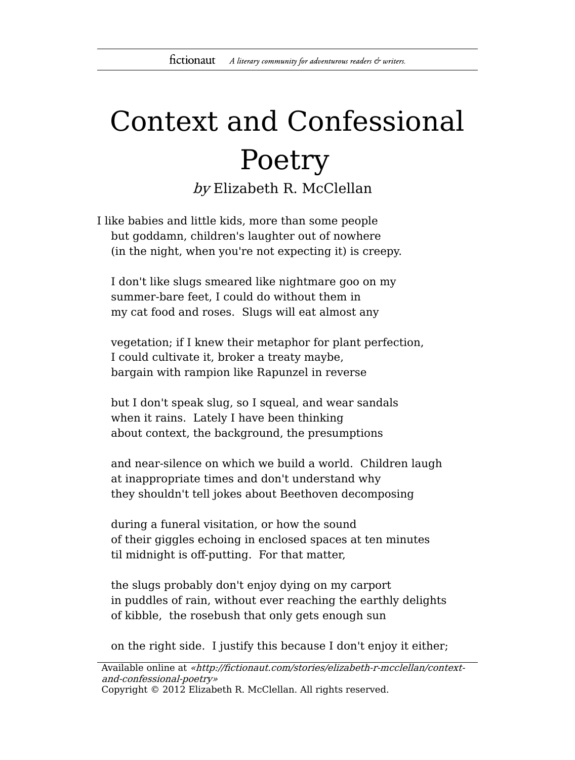## Context and Confessional Poetry by Elizabeth R. McClellan

I like babies and little kids, more than some people but goddamn, children's laughter out of nowhere (in the night, when you're not expecting it) is creepy.

I don't like slugs smeared like nightmare goo on my summer-bare feet, I could do without them in my cat food and roses. Slugs will eat almost any

vegetation; if I knew their metaphor for plant perfection, I could cultivate it, broker a treaty maybe, bargain with rampion like Rapunzel in reverse

but I don't speak slug, so I squeal, and wear sandals when it rains. Lately I have been thinking about context, the background, the presumptions

and near-silence on which we build a world. Children laugh at inappropriate times and don't understand why they shouldn't tell jokes about Beethoven decomposing

during a funeral visitation, or how the sound of their giggles echoing in enclosed spaces at ten minutes til midnight is off-putting. For that matter,

the slugs probably don't enjoy dying on my carport in puddles of rain, without ever reaching the earthly delights of kibble, the rosebush that only gets enough sun

on the right side. I justify this because I don't enjoy it either;

Available online at «http://fictionaut.com/stories/elizabeth-r-mcclellan/contextand-confessional-poetry» Copyright © 2012 Elizabeth R. McClellan. All rights reserved.